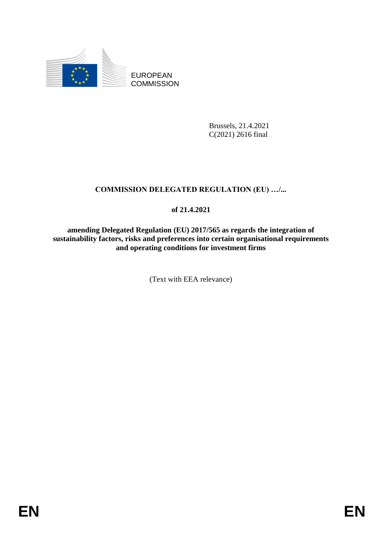

EUROPEAN **COMMISSION** 

> Brussels, 21.4.2021 C(2021) 2616 final

# **COMMISSION DELEGATED REGULATION (EU) …/...**

## **of 21.4.2021**

**amending Delegated Regulation (EU) 2017/565 as regards the integration of sustainability factors, risks and preferences into certain organisational requirements and operating conditions for investment firms**

(Text with EEA relevance)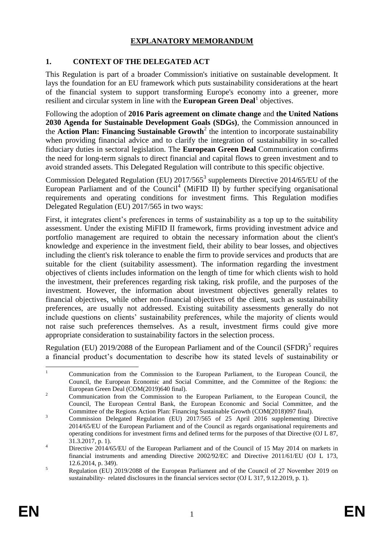## **EXPLANATORY MEMORANDUM**

### **1. CONTEXT OF THE DELEGATED ACT**

This Regulation is part of a broader Commission's initiative on sustainable development. It lays the foundation for an EU framework which puts sustainability considerations at the heart of the financial system to support transforming Europe's economy into a greener, more resilient and circular system in line with the **European Green Deal** objectives.

Following the adoption of **2016 Paris agreement on climate change** and **the United Nations 2030 Agenda for Sustainable Development Goals (SDGs)**, the Commission announced in the **Action Plan: Financing Sustainable Growth**<sup>2</sup> the intention to incorporate sustainability when providing financial advice and to clarify the integration of sustainability in so-called fiduciary duties in sectoral legislation. The **European Green Deal** Communication confirms the need for long-term signals to direct financial and capital flows to green investment and to avoid stranded assets. This Delegated Regulation will contribute to this specific objective.

Commission Delegated Regulation (EU)  $2017/565^3$  supplements Directive  $2014/65/EU$  of the European Parliament and of the Council<sup>4</sup> (MiFID II) by further specifying organisational requirements and operating conditions for investment firms. This Regulation modifies Delegated Regulation (EU) 2017/565 in two ways:

First, it integrates client's preferences in terms of sustainability as a top up to the suitability assessment. Under the existing MiFID II framework, firms providing investment advice and portfolio management are required to obtain the necessary information about the client's knowledge and experience in the investment field, their ability to bear losses, and objectives including the client's risk tolerance to enable the firm to provide services and products that are suitable for the client (suitability assessment). The information regarding the investment objectives of clients includes information on the length of time for which clients wish to hold the investment, their preferences regarding risk taking, risk profile, and the purposes of the investment. However, the information about investment objectives generally relates to financial objectives, while other non-financial objectives of the client, such as sustainability preferences, are usually not addressed. Existing suitability assessments generally do not include questions on clients' sustainability preferences, while the majority of clients would not raise such preferences themselves. As a result, investment firms could give more appropriate consideration to sustainability factors in the selection process.

Regulation (EU)  $2019/2088$  of the European Parliament and of the Council (SFDR)<sup>5</sup> requires a financial product's documentation to describe how its stated levels of sustainability or

 $\overline{1}$ <sup>1</sup> Communication from the Commission to the European Parliament, to the European Council, the Council, the European Economic and Social Committee, and the Committee of the Regions: the European Green Deal (COM(2019)640 final).

<sup>&</sup>lt;sup>2</sup> Communication from the Commission to the European Parliament, to the European Council, the Council, The European Central Bank, the European Economic and Social Committee, and the Committee of the Regions Action Plan: Financing Sustainable Growth (COM(2018)097 final).

<sup>&</sup>lt;sup>3</sup><br>Commission Delegated Regulation (EU) 2017/565 of 25 April 2016 supplementing Directive 2014/65/EU of the European Parliament and of the Council as regards organisational requirements and operating conditions for investment firms and defined terms for the purposes of that Directive (OJ L 87, 31.3.2017, p. 1).

<sup>&</sup>lt;sup>4</sup> Directive 2014/65/EU of the European Parliament and of the Council of 15 May 2014 on markets in financial instruments and amending Directive 2002/92/EC and Directive 2011/61/EU (OJ L 173, 12.6.2014, p. 349).

<sup>&</sup>lt;sup>5</sup><br>Regulation (EU) 2019/2088 of the European Parliament and of the Council of 27 November 2019 on sustainability-related disclosures in the financial services sector (OJ L 317, 9.12.2019, p. 1).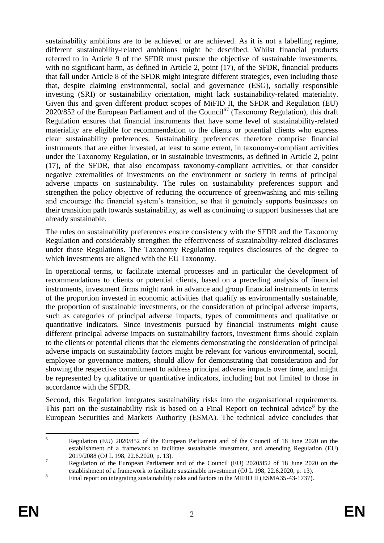sustainability ambitions are to be achieved or are achieved. As it is not a labelling regime, different sustainability-related ambitions might be described. Whilst financial products referred to in Article 9 of the SFDR must pursue the objective of sustainable investments, with no significant harm, as defined in Article 2, point (17), of the SFDR, financial products that fall under Article 8 of the SFDR might integrate different strategies, even including those that, despite claiming environmental, social and governance (ESG), socially responsible investing (SRI) or sustainability orientation, might lack sustainability-related materiality. Given this and given different product scopes of MiFID II, the SFDR and Regulation (EU) 2020/852 of the European Parliament and of the Council<sup>67</sup> (Taxonomy Regulation), this draft Regulation ensures that financial instruments that have some level of sustainability-related materiality are eligible for recommendation to the clients or potential clients who express clear sustainability preferences. Sustainability preferences therefore comprise financial instruments that are either invested, at least to some extent, in taxonomy-compliant activities under the Taxonomy Regulation, or in sustainable investments, as defined in Article 2, point (17), of the SFDR, that also encompass taxonomy-compliant activities, or that consider negative externalities of investments on the environment or society in terms of principal adverse impacts on sustainability. The rules on sustainability preferences support and strengthen the policy objective of reducing the occurrence of greenwashing and mis-selling and encourage the financial system's transition, so that it genuinely supports businesses on their transition path towards sustainability, as well as continuing to support businesses that are already sustainable.

The rules on sustainability preferences ensure consistency with the SFDR and the Taxonomy Regulation and considerably strengthen the effectiveness of sustainability-related disclosures under those Regulations. The Taxonomy Regulation requires disclosures of the degree to which investments are aligned with the EU Taxonomy.

In operational terms, to facilitate internal processes and in particular the development of recommendations to clients or potential clients, based on a preceding analysis of financial instruments, investment firms might rank in advance and group financial instruments in terms of the proportion invested in economic activities that qualify as environmentally sustainable, the proportion of sustainable investments, or the consideration of principal adverse impacts, such as categories of principal adverse impacts, types of commitments and qualitative or quantitative indicators. Since investments pursued by financial instruments might cause different principal adverse impacts on sustainability factors, investment firms should explain to the clients or potential clients that the elements demonstrating the consideration of principal adverse impacts on sustainability factors might be relevant for various environmental, social, employee or governance matters, should allow for demonstrating that consideration and for showing the respective commitment to address principal adverse impacts over time, and might be represented by qualitative or quantitative indicators, including but not limited to those in accordance with the SFDR.

Second, this Regulation integrates sustainability risks into the organisational requirements. This part on the sustainability risk is based on a Final Report on technical advice<sup>8</sup> by the European Securities and Markets Authority (ESMA). The technical advice concludes that

<sup>6</sup> <sup>6</sup> Regulation (EU) 2020/852 of the European Parliament and of the Council of 18 June 2020 on the establishment of a framework to facilitate sustainable investment, and amending Regulation (EU) 2019/2088 (OJ L 198, 22.6.2020, p. 13).

<sup>&</sup>lt;sup>7</sup> Regulation of the European Parliament and of the Council (EU) 2020/852 of 18 June 2020 on the establishment of a framework to facilitate sustainable investment (OJ L 198, 22.6.2020, p. 13).

<sup>8</sup> Final report on integrating sustainability risks and factors in the MIFID II (ESMA35-43-1737).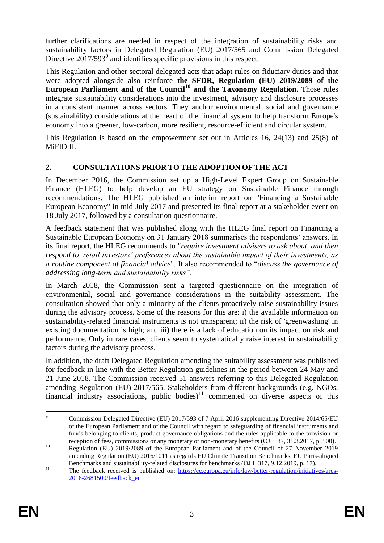further clarifications are needed in respect of the integration of sustainability risks and sustainability factors in Delegated Regulation (EU) 2017/565 and Commission Delegated Directive 2017/593<sup>9</sup> and identifies specific provisions in this respect.

This Regulation and other sectoral delegated acts that adapt rules on fiduciary duties and that were adopted alongside also reinforce **the SFDR, Regulation (EU) 2019/2089 of the European Parliament and of the Council<sup>10</sup> and the Taxonomy Regulation**. Those rules integrate sustainability considerations into the investment, advisory and disclosure processes in a consistent manner across sectors. They anchor environmental, social and governance (sustainability) considerations at the heart of the financial system to help transform Europe's economy into a greener, low-carbon, more resilient, resource-efficient and circular system.

This Regulation is based on the empowerment set out in Articles 16, 24(13) and 25(8) of MiFID II.

## **2. CONSULTATIONS PRIOR TO THE ADOPTION OF THE ACT**

In December 2016, the Commission set up a High-Level Expert Group on Sustainable Finance (HLEG) to help develop an EU strategy on Sustainable Finance through recommendations. The HLEG published an interim report on "Financing a Sustainable European Economy" in mid-July 2017 and presented its final report at a stakeholder event on 18 July 2017, followed by a consultation questionnaire.

A feedback statement that was published along with the HLEG final report on Financing a Sustainable European Economy on 31 January 2018 summarises the respondents' answers. In its final report, the HLEG recommends to "*require investment advisers to ask about, and then respond to, retail investors' preferences about the sustainable impact of their investments, as a routine component of financial advice*". It also recommended to "*discuss the governance of addressing long-term and sustainability risks".*

In March 2018, the Commission sent a targeted questionnaire on the integration of environmental, social and governance considerations in the suitability assessment. The consultation showed that only a minority of the clients proactively raise sustainability issues during the advisory process. Some of the reasons for this are: i) the available information on sustainability-related financial instruments is not transparent; ii) the risk of 'greenwashing' in existing documentation is high; and iii) there is a lack of education on its impact on risk and performance. Only in rare cases, clients seem to systematically raise interest in sustainability factors during the advisory process.

In addition, the draft Delegated Regulation amending the suitability assessment was published for feedback in line with the Better Regulation guidelines in the period between 24 May and 21 June 2018. The Commission received 51 answers referring to this Delegated Regulation amending Regulation (EU) 2017/565. Stakeholders from different backgrounds (e.g. NGOs, financial industry associations, public bodies) $11$  commented on diverse aspects of this

 $\overline{9}$ <sup>9</sup> Commission Delegated Directive (EU) 2017/593 of 7 April 2016 supplementing Directive 2014/65/EU of the European Parliament and of the Council with regard to safeguarding of financial instruments and funds belonging to clients, product governance obligations and the rules applicable to the provision or reception of fees, commissions or any monetary or non-monetary benefits (OJ L 87, 31.3.2017, p. 500).

<sup>&</sup>lt;sup>10</sup> Regulation (EU) 2019/2089 of the European Parliament and of the Council of 27 November 2019 amending Regulation (EU) 2016/1011 as regards EU Climate Transition Benchmarks, EU Paris-aligned Benchmarks and sustainability-related disclosures for benchmarks (OJ L 317, 9.12.2019, p. 17).

<sup>&</sup>lt;sup>11</sup> The feedback received is published on: https://ec.europa.eu/info/law/better-regulation/initiatives/ares-2018-2681500/feedback\_en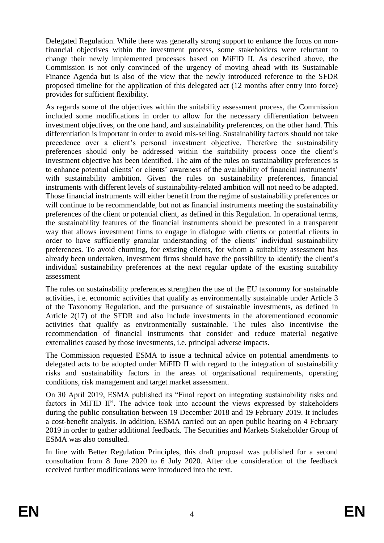Delegated Regulation. While there was generally strong support to enhance the focus on nonfinancial objectives within the investment process, some stakeholders were reluctant to change their newly implemented processes based on MiFID II. As described above, the Commission is not only convinced of the urgency of moving ahead with its Sustainable Finance Agenda but is also of the view that the newly introduced reference to the SFDR proposed timeline for the application of this delegated act (12 months after entry into force) provides for sufficient flexibility.

As regards some of the objectives within the suitability assessment process, the Commission included some modifications in order to allow for the necessary differentiation between investment objectives, on the one hand, and sustainability preferences, on the other hand. This differentiation is important in order to avoid mis-selling. Sustainability factors should not take precedence over a client's personal investment objective. Therefore the sustainability preferences should only be addressed within the suitability process once the client's investment objective has been identified. The aim of the rules on sustainability preferences is to enhance potential clients' or clients' awareness of the availability of financial instruments' with sustainability ambition. Given the rules on sustainability preferences, financial instruments with different levels of sustainability-related ambition will not need to be adapted. Those financial instruments will either benefit from the regime of sustainability preferences or will continue to be recommendable, but not as financial instruments meeting the sustainability preferences of the client or potential client, as defined in this Regulation. In operational terms, the sustainability features of the financial instruments should be presented in a transparent way that allows investment firms to engage in dialogue with clients or potential clients in order to have sufficiently granular understanding of the clients' individual sustainability preferences. To avoid churning, for existing clients, for whom a suitability assessment has already been undertaken, investment firms should have the possibility to identify the client's individual sustainability preferences at the next regular update of the existing suitability assessment

The rules on sustainability preferences strengthen the use of the EU taxonomy for sustainable activities, i.e. economic activities that qualify as environmentally sustainable under Article 3 of the Taxonomy Regulation, and the pursuance of sustainable investments, as defined in Article 2(17) of the SFDR and also include investments in the aforementioned economic activities that qualify as environmentally sustainable. The rules also incentivise the recommendation of financial instruments that consider and reduce material negative externalities caused by those investments, i.e. principal adverse impacts.

The Commission requested ESMA to issue a technical advice on potential amendments to delegated acts to be adopted under MiFID II with regard to the integration of sustainability risks and sustainability factors in the areas of organisational requirements, operating conditions, risk management and target market assessment.

On 30 April 2019, ESMA published its "Final report on integrating sustainability risks and factors in MiFID II". The advice took into account the views expressed by stakeholders during the public consultation between 19 December 2018 and 19 February 2019. It includes a cost-benefit analysis. In addition, ESMA carried out an open public hearing on 4 February 2019 in order to gather additional feedback. The Securities and Markets Stakeholder Group of ESMA was also consulted.

In line with Better Regulation Principles, this draft proposal was published for a second consultation from 8 June 2020 to 6 July 2020. After due consideration of the feedback received further modifications were introduced into the text.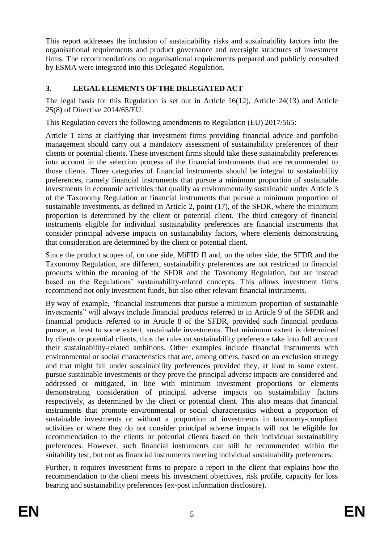This report addresses the inclusion of sustainability risks and sustainability factors into the organisational requirements and product governance and oversight structures of investment firms. The recommendations on organisational requirements prepared and publicly consulted by ESMA were integrated into this Delegated Regulation.

## **3. LEGAL ELEMENTS OF THE DELEGATED ACT**

The legal basis for this Regulation is set out in Article 16(12), Article 24(13) and Article 25(8) of Directive 2014/65/EU.

This Regulation covers the following amendments to Regulation (EU) 2017/565:

Article 1 aims at clarifying that investment firms providing financial advice and portfolio management should carry out a mandatory assessment of sustainability preferences of their clients or potential clients. These investment firms should take these sustainability preferences into account in the selection process of the financial instruments that are recommended to those clients. Three categories of financial instruments should be integral to sustainability preferences, namely financial instruments that pursue a minimum proportion of sustainable investments in economic activities that qualify as environmentally sustainable under Article 3 of the Taxonomy Regulation or financial instruments that pursue a minimum proportion of sustainable investments, as defined in Article 2, point (17), of the SFDR, where the minimum proportion is determined by the client or potential client. The third category of financial instruments eligible for individual sustainability preferences are financial instruments that consider principal adverse impacts on sustainability factors, where elements demonstrating that consideration are determined by the client or potential client.

Since the product scopes of, on one side, MiFID II and, on the other side, the SFDR and the Taxonomy Regulation, are different, sustainability preferences are not restricted to financial products within the meaning of the SFDR and the Taxonomy Regulation, but are instead based on the Regulations' sustainability-related concepts. This allows investment firms recommend not only investment funds, but also other relevant financial instruments.

By way of example, "financial instruments that pursue a minimum proportion of sustainable investments" will always include financial products referred to in Article 9 of the SFDR and financial products referred to in Article 8 of the SFDR, provided such financial products pursue, at least to some extent, sustainable investments. That minimum extent is determined by clients or potential clients, thus the rules on sustainability preference take into full account their sustainability-related ambitions. Other examples include financial instruments with environmental or social characteristics that are, among others, based on an exclusion strategy and that might fall under sustainability preferences provided they, at least to some extent, pursue sustainable investments or they prove the principal adverse impacts are considered and addressed or mitigated, in line with minimum investment proportions or elements demonstrating consideration of principal adverse impacts on sustainability factors respectively, as determined by the client or potential client. This also means that financial instruments that promote environmental or social characteristics without a proportion of sustainable investments or without a proportion of investments in taxonomy-compliant activities or where they do not consider principal adverse impacts will not be eligible for recommendation to the clients or potential clients based on their individual sustainability preferences. However, such financial instruments can still be recommended within the suitability test, but not as financial instruments meeting individual sustainability preferences.

Further, it requires investment firms to prepare a report to the client that explains how the recommendation to the client meets his investment objectives, risk profile, capacity for loss bearing and sustainability preferences (ex-post information disclosure).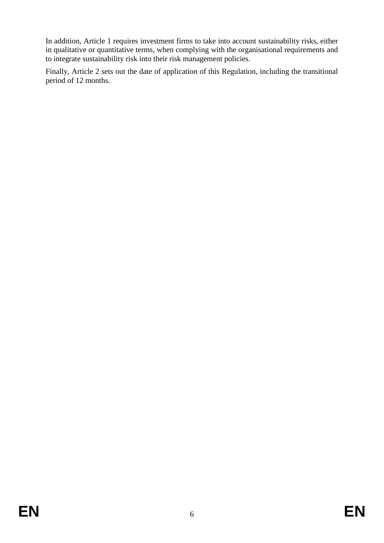In addition, Article 1 requires investment firms to take into account sustainability risks, either in qualitative or quantitative terms, when complying with the organisational requirements and to integrate sustainability risk into their risk management policies.

Finally, Article 2 sets out the date of application of this Regulation, including the transitional period of 12 months.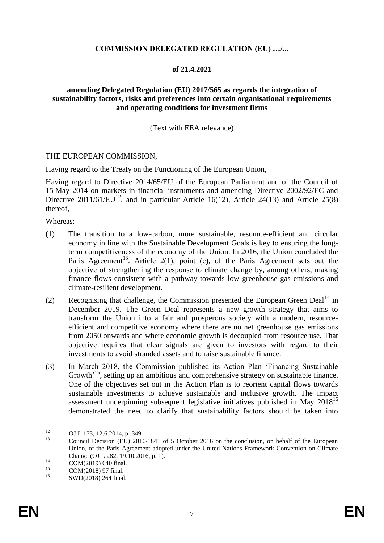#### **COMMISSION DELEGATED REGULATION (EU) …/...**

#### **of 21.4.2021**

#### **amending Delegated Regulation (EU) 2017/565 as regards the integration of sustainability factors, risks and preferences into certain organisational requirements and operating conditions for investment firms**

#### (Text with EEA relevance)

#### THE EUROPEAN COMMISSION,

Having regard to the Treaty on the Functioning of the European Union,

Having regard to Directive 2014/65/EU of the European Parliament and of the Council of 15 May 2014 on markets in financial instruments and amending Directive 2002/92/EC and Directive 2011/61/EU<sup>12</sup>, and in particular Article 16(12), Article 24(13) and Article 25(8) thereof,

Whereas:

- (1) The transition to a low-carbon, more sustainable, resource-efficient and circular economy in line with the Sustainable Development Goals is key to ensuring the longterm competitiveness of the economy of the Union. In 2016, the Union concluded the Paris Agreement<sup>13</sup>. Article 2(1), point (c), of the Paris Agreement sets out the objective of strengthening the response to climate change by, among others, making finance flows consistent with a pathway towards low greenhouse gas emissions and climate-resilient development.
- (2) Recognising that challenge, the Commission presented the European Green Deal<sup>14</sup> in December 2019. The Green Deal represents a new growth strategy that aims to transform the Union into a fair and prosperous society with a modern, resourceefficient and competitive economy where there are no net greenhouse gas emissions from 2050 onwards and where economic growth is decoupled from resource use. That objective requires that clear signals are given to investors with regard to their investments to avoid stranded assets and to raise sustainable finance.
- (3) In March 2018, the Commission published its Action Plan 'Financing Sustainable Growth<sup>15</sup>, setting up an ambitious and comprehensive strategy on sustainable finance. One of the objectives set out in the Action Plan is to reorient capital flows towards sustainable investments to achieve sustainable and inclusive growth. The impact assessment underpinning subsequent legislative initiatives published in May 2018<sup>16</sup> demonstrated the need to clarify that sustainability factors should be taken into

 $12$ <sup>12</sup> OJ L 173, 12.6.2014, p. 349.

Council Decision (EU) 2016/1841 of 5 October 2016 on the conclusion, on behalf of the European Union, of the Paris Agreement adopted under the United Nations Framework Convention on Climate Change (OJ L 282, 19.10.2016, p. 1).

 $14$  COM(2019) 640 final.

<sup>&</sup>lt;sup>15</sup> COM(2018) 97 final.

SWD(2018) 264 final.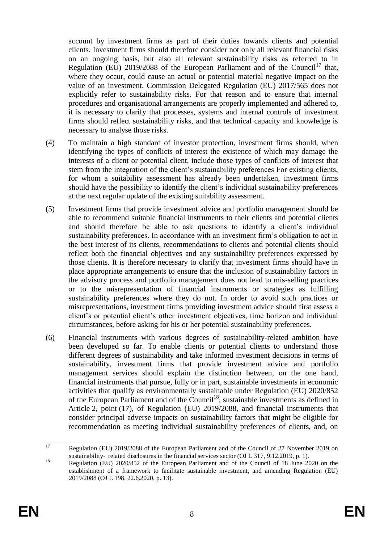account by investment firms as part of their duties towards clients and potential clients. Investment firms should therefore consider not only all relevant financial risks on an ongoing basis, but also all relevant sustainability risks as referred to in Regulation (EU)  $2019/2088$  of the European Parliament and of the Council<sup>17</sup> that, where they occur, could cause an actual or potential material negative impact on the value of an investment. Commission Delegated Regulation (EU) 2017/565 does not explicitly refer to sustainability risks. For that reason and to ensure that internal procedures and organisational arrangements are properly implemented and adhered to, it is necessary to clarify that processes, systems and internal controls of investment firms should reflect sustainability risks, and that technical capacity and knowledge is necessary to analyse those risks.

- (4) To maintain a high standard of investor protection, investment firms should, when identifying the types of conflicts of interest the existence of which may damage the interests of a client or potential client, include those types of conflicts of interest that stem from the integration of the client's sustainability preferences For existing clients, for whom a suitability assessment has already been undertaken, investment firms should have the possibility to identify the client's individual sustainability preferences at the next regular update of the existing suitability assessment.
- (5) Investment firms that provide investment advice and portfolio management should be able to recommend suitable financial instruments to their clients and potential clients and should therefore be able to ask questions to identify a client's individual sustainability preferences. In accordance with an investment firm's obligation to act in the best interest of its clients, recommendations to clients and potential clients should reflect both the financial objectives and any sustainability preferences expressed by those clients. It is therefore necessary to clarify that investment firms should have in place appropriate arrangements to ensure that the inclusion of sustainability factors in the advisory process and portfolio management does not lead to mis-selling practices or to the misrepresentation of financial instruments or strategies as fulfilling sustainability preferences where they do not. In order to avoid such practices or misrepresentations, investment firms providing investment advice should first assess a client's or potential client's other investment objectives, time horizon and individual circumstances, before asking for his or her potential sustainability preferences.
- (6) Financial instruments with various degrees of sustainability-related ambition have been developed so far. To enable clients or potential clients to understand those different degrees of sustainability and take informed investment decisions in terms of sustainability, investment firms that provide investment advice and portfolio management services should explain the distinction between, on the one hand, financial instruments that pursue, fully or in part, sustainable investments in economic activities that qualify as environmentally sustainable under Regulation (EU) 2020/852 of the European Parliament and of the Council<sup>18</sup>, sustainable investments as defined in Article 2, point (17), of Regulation (EU) 2019/2088, and financial instruments that consider principal adverse impacts on sustainability factors that might be eligible for recommendation as meeting individual sustainability preferences of clients, and, on

 $17\text{ }$ Regulation (EU) 2019/2088 of the European Parliament and of the Council of 27 November 2019 on sustainability-related disclosures in the financial services sector (OJ L 317, 9.12.2019, p. 1).

<sup>&</sup>lt;sup>18</sup> Regulation (EU) 2020/852 of the European Parliament and of the Council of 18 June 2020 on the establishment of a framework to facilitate sustainable investment, and amending Regulation (EU) 2019/2088 (OJ L 198, 22.6.2020, p. 13).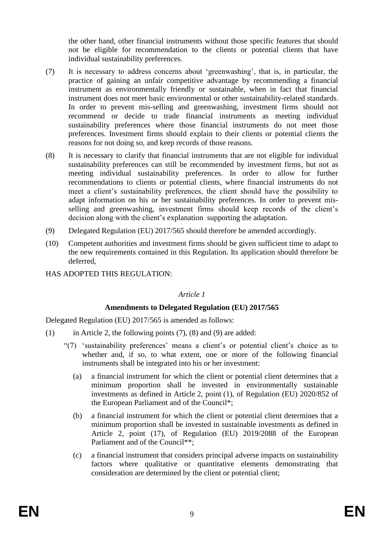the other hand, other financial instruments without those specific features that should not be eligible for recommendation to the clients or potential clients that have individual sustainability preferences.

- (7) It is necessary to address concerns about 'greenwashing', that is, in particular, the practice of gaining an unfair competitive advantage by recommending a financial instrument as environmentally friendly or sustainable, when in fact that financial instrument does not meet basic environmental or other sustainability-related standards. In order to prevent mis-selling and greenwashing, investment firms should not recommend or decide to trade financial instruments as meeting individual sustainability preferences where those financial instruments do not meet those preferences. Investment firms should explain to their clients or potential clients the reasons for not doing so, and keep records of those reasons.
- (8) It is necessary to clarify that financial instruments that are not eligible for individual sustainability preferences can still be recommended by investment firms, but not as meeting individual sustainability preferences. In order to allow for further recommendations to clients or potential clients, where financial instruments do not meet a client's sustainability preferences, the client should have the possibility to adapt information on his or her sustainability preferences. In order to prevent misselling and greenwashing, investment firms should keep records of the client's decision along with the client's explanation supporting the adaptation.
- (9) Delegated Regulation (EU) 2017/565 should therefore be amended accordingly.
- (10) Competent authorities and investment firms should be given sufficient time to adapt to the new requirements contained in this Regulation. Its application should therefore be deferred,
- HAS ADOPTED THIS REGULATION:

#### *Article 1*

### **Amendments to Delegated Regulation (EU) 2017/565**

Delegated Regulation (EU) 2017/565 is amended as follows:

- (1) in Article 2, the following points (7), (8) and (9) are added:
	- "(7) 'sustainability preferences' means a client's or potential client's choice as to whether and, if so, to what extent, one or more of the following financial instruments shall be integrated into his or her investment:
		- (a) a financial instrument for which the client or potential client determines that a minimum proportion shall be invested in environmentally sustainable investments as defined in Article 2, point (1), of Regulation (EU) 2020/852 of the European Parliament and of the Council\*;
		- (b) a financial instrument for which the client or potential client determines that a minimum proportion shall be invested in sustainable investments as defined in Article 2, point (17), of Regulation (EU) 2019/2088 of the European Parliament and of the Council\*\*;
		- (c) a financial instrument that considers principal adverse impacts on sustainability factors where qualitative or quantitative elements demonstrating that consideration are determined by the client or potential client;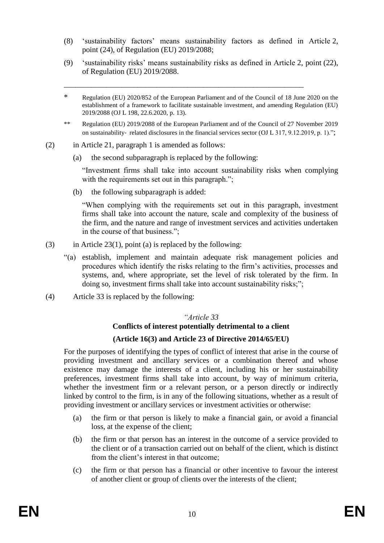- (8) 'sustainability factors' means sustainability factors as defined in Article 2, point (24), of Regulation (EU) 2019/2088;
- (9) 'sustainability risks' means sustainability risks as defined in Article 2, point (22), of Regulation (EU) 2019/2088.

\_\_\_\_\_\_\_\_\_\_\_\_\_\_\_\_\_\_\_\_\_\_\_\_\_\_\_\_\_\_\_\_\_\_\_\_\_\_\_\_\_\_\_\_\_\_\_\_\_\_\_\_\_\_\_\_\_\_\_\_\_\_

- \* Regulation (EU) 2020/852 of the European Parliament and of the Council of 18 June 2020 on the establishment of a framework to facilitate sustainable investment, and amending Regulation (EU) 2019/2088 (OJ L 198, 22.6.2020, p. 13).
- \*\* Regulation (EU) 2019/2088 of the European Parliament and of the Council of 27 November 2019 on sustainability-related disclosures in the financial services sector (OJ L 317, 9.12.2019, p. 1).";
- (2) in Article 21, paragraph 1 is amended as follows:
	- (a) the second subparagraph is replaced by the following:

"Investment firms shall take into account sustainability risks when complying with the requirements set out in this paragraph.";

(b) the following subparagraph is added:

"When complying with the requirements set out in this paragraph, investment firms shall take into account the nature, scale and complexity of the business of the firm, and the nature and range of investment services and activities undertaken in the course of that business.";

- (3) in Article 23(1), point (a) is replaced by the following:
	- "(a) establish, implement and maintain adequate risk management policies and procedures which identify the risks relating to the firm's activities, processes and systems, and, where appropriate, set the level of risk tolerated by the firm. In doing so, investment firms shall take into account sustainability risks;";
- (4) Article 33 is replaced by the following:

#### *"Article 33*

## **Conflicts of interest potentially detrimental to a client (Article 16(3) and Article 23 of Directive 2014/65/EU)**

For the purposes of identifying the types of conflict of interest that arise in the course of providing investment and ancillary services or a combination thereof and whose existence may damage the interests of a client, including his or her sustainability preferences, investment firms shall take into account, by way of minimum criteria, whether the investment firm or a relevant person, or a person directly or indirectly linked by control to the firm, is in any of the following situations, whether as a result of providing investment or ancillary services or investment activities or otherwise:

- (a) the firm or that person is likely to make a financial gain, or avoid a financial loss, at the expense of the client;
- (b) the firm or that person has an interest in the outcome of a service provided to the client or of a transaction carried out on behalf of the client, which is distinct from the client's interest in that outcome;
- (c) the firm or that person has a financial or other incentive to favour the interest of another client or group of clients over the interests of the client;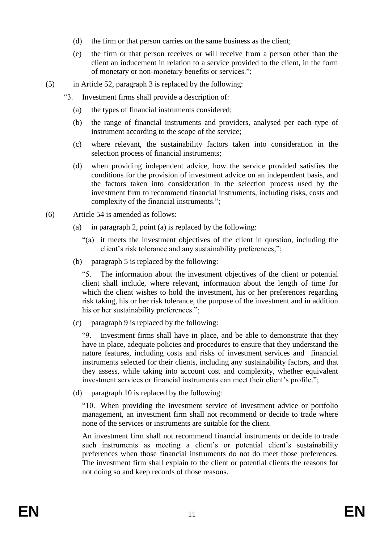- (d) the firm or that person carries on the same business as the client;
- (e) the firm or that person receives or will receive from a person other than the client an inducement in relation to a service provided to the client, in the form of monetary or non-monetary benefits or services.";
- (5) in Article 52, paragraph 3 is replaced by the following:
	- "3. Investment firms shall provide a description of:
		- (a) the types of financial instruments considered;
		- (b) the range of financial instruments and providers, analysed per each type of instrument according to the scope of the service;
		- (c) where relevant, the sustainability factors taken into consideration in the selection process of financial instruments;
		- (d) when providing independent advice, how the service provided satisfies the conditions for the provision of investment advice on an independent basis, and the factors taken into consideration in the selection process used by the investment firm to recommend financial instruments, including risks, costs and complexity of the financial instruments.";
- (6) Article 54 is amended as follows:
	- (a) in paragraph 2, point (a) is replaced by the following:
		- "(a) it meets the investment objectives of the client in question, including the client's risk tolerance and any sustainability preferences;";
	- (b) paragraph 5 is replaced by the following:

"5. The information about the investment objectives of the client or potential client shall include, where relevant, information about the length of time for which the client wishes to hold the investment, his or her preferences regarding risk taking, his or her risk tolerance, the purpose of the investment and in addition his or her sustainability preferences.";

(c) paragraph 9 is replaced by the following:

"9. Investment firms shall have in place, and be able to demonstrate that they have in place, adequate policies and procedures to ensure that they understand the nature features, including costs and risks of investment services and financial instruments selected for their clients, including any sustainability factors, and that they assess, while taking into account cost and complexity, whether equivalent investment services or financial instruments can meet their client's profile.";

(d) paragraph 10 is replaced by the following:

"10. When providing the investment service of investment advice or portfolio management, an investment firm shall not recommend or decide to trade where none of the services or instruments are suitable for the client.

An investment firm shall not recommend financial instruments or decide to trade such instruments as meeting a client's or potential client's sustainability preferences when those financial instruments do not do meet those preferences. The investment firm shall explain to the client or potential clients the reasons for not doing so and keep records of those reasons.